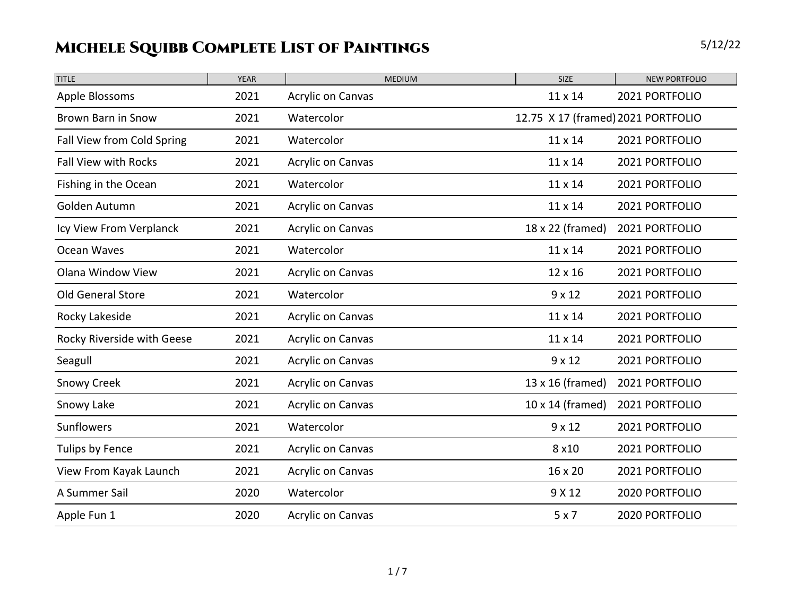| <b>TITLE</b>                | <b>YEAR</b> | <b>MEDIUM</b>            | <b>SIZE</b>                        | <b>NEW PORTFOLIO</b> |
|-----------------------------|-------------|--------------------------|------------------------------------|----------------------|
| Apple Blossoms              | 2021        | <b>Acrylic on Canvas</b> | 11 x 14                            | 2021 PORTFOLIO       |
| Brown Barn in Snow          | 2021        | Watercolor               | 12.75 X 17 (framed) 2021 PORTFOLIO |                      |
| Fall View from Cold Spring  | 2021        | Watercolor               | 11 x 14                            | 2021 PORTFOLIO       |
| <b>Fall View with Rocks</b> | 2021        | Acrylic on Canvas        | $11 \times 14$                     | 2021 PORTFOLIO       |
| Fishing in the Ocean        | 2021        | Watercolor               | 11 x 14                            | 2021 PORTFOLIO       |
| Golden Autumn               | 2021        | Acrylic on Canvas        | 11 x 14                            | 2021 PORTFOLIO       |
| Icy View From Verplanck     | 2021        | Acrylic on Canvas        | 18 x 22 (framed)                   | 2021 PORTFOLIO       |
| Ocean Waves                 | 2021        | Watercolor               | 11 x 14                            | 2021 PORTFOLIO       |
| <b>Olana Window View</b>    | 2021        | Acrylic on Canvas        | 12 x 16                            | 2021 PORTFOLIO       |
| Old General Store           | 2021        | Watercolor               | $9 \times 12$                      | 2021 PORTFOLIO       |
| Rocky Lakeside              | 2021        | Acrylic on Canvas        | 11 x 14                            | 2021 PORTFOLIO       |
| Rocky Riverside with Geese  | 2021        | <b>Acrylic on Canvas</b> | 11 x 14                            | 2021 PORTFOLIO       |
| Seagull                     | 2021        | <b>Acrylic on Canvas</b> | $9 \times 12$                      | 2021 PORTFOLIO       |
| <b>Snowy Creek</b>          | 2021        | <b>Acrylic on Canvas</b> | 13 x 16 (framed)                   | 2021 PORTFOLIO       |
| Snowy Lake                  | 2021        | Acrylic on Canvas        | 10 x 14 (framed)                   | 2021 PORTFOLIO       |
| <b>Sunflowers</b>           | 2021        | Watercolor               | $9 \times 12$                      | 2021 PORTFOLIO       |
| Tulips by Fence             | 2021        | <b>Acrylic on Canvas</b> | 8 x 10                             | 2021 PORTFOLIO       |
| View From Kayak Launch      | 2021        | Acrylic on Canvas        | 16 x 20                            | 2021 PORTFOLIO       |
| A Summer Sail               | 2020        | Watercolor               | 9 X 12                             | 2020 PORTFOLIO       |
| Apple Fun 1                 | 2020        | <b>Acrylic on Canvas</b> | 5x7                                | 2020 PORTFOLIO       |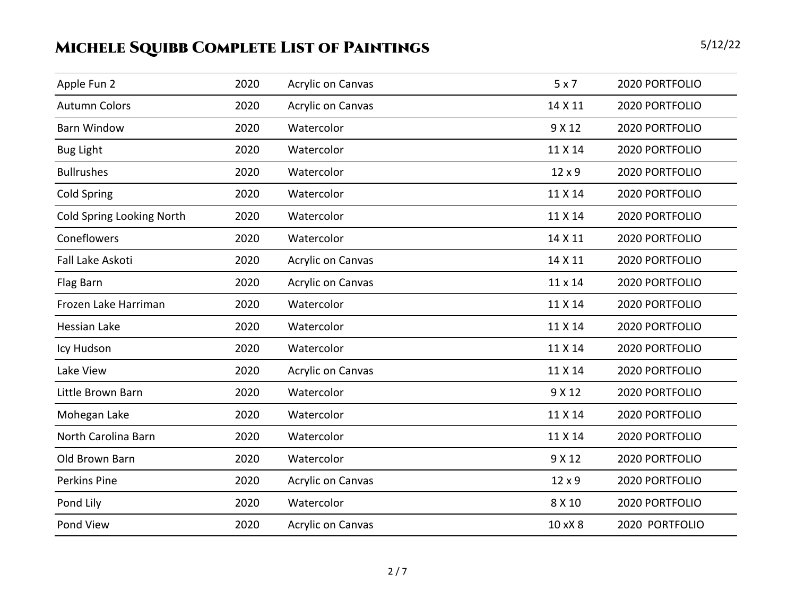| Apple Fun 2                      | 2020 | <b>Acrylic on Canvas</b> | 5x7            | 2020 PORTFOLIO |
|----------------------------------|------|--------------------------|----------------|----------------|
| <b>Autumn Colors</b>             | 2020 | <b>Acrylic on Canvas</b> | 14 X 11        | 2020 PORTFOLIO |
| <b>Barn Window</b>               | 2020 | Watercolor               | 9 X 12         | 2020 PORTFOLIO |
| <b>Bug Light</b>                 | 2020 | Watercolor               | 11 X 14        | 2020 PORTFOLIO |
| <b>Bullrushes</b>                | 2020 | Watercolor               | 12 x 9         | 2020 PORTFOLIO |
| <b>Cold Spring</b>               | 2020 | Watercolor               | 11 X 14        | 2020 PORTFOLIO |
| <b>Cold Spring Looking North</b> | 2020 | Watercolor               | 11 X 14        | 2020 PORTFOLIO |
| Coneflowers                      | 2020 | Watercolor               | 14 X 11        | 2020 PORTFOLIO |
| Fall Lake Askoti                 | 2020 | <b>Acrylic on Canvas</b> | 14 X 11        | 2020 PORTFOLIO |
| Flag Barn                        | 2020 | <b>Acrylic on Canvas</b> | $11 \times 14$ | 2020 PORTFOLIO |
| Frozen Lake Harriman             | 2020 | Watercolor               | 11 X 14        | 2020 PORTFOLIO |
| Hessian Lake                     | 2020 | Watercolor               | 11 X 14        | 2020 PORTFOLIO |
| Icy Hudson                       | 2020 | Watercolor               | 11 X 14        | 2020 PORTFOLIO |
| Lake View                        | 2020 | <b>Acrylic on Canvas</b> | 11 X 14        | 2020 PORTFOLIO |
| Little Brown Barn                | 2020 | Watercolor               | 9 X 12         | 2020 PORTFOLIO |
| Mohegan Lake                     | 2020 | Watercolor               | 11 X 14        | 2020 PORTFOLIO |
| North Carolina Barn              | 2020 | Watercolor               | 11 X 14        | 2020 PORTFOLIO |
| Old Brown Barn                   | 2020 | Watercolor               | 9 X 12         | 2020 PORTFOLIO |
| <b>Perkins Pine</b>              | 2020 | <b>Acrylic on Canvas</b> | 12 x 9         | 2020 PORTFOLIO |
| Pond Lily                        | 2020 | Watercolor               | 8 X 10         | 2020 PORTFOLIO |
| Pond View                        | 2020 | <b>Acrylic on Canvas</b> | 10 x X 8       | 2020 PORTFOLIO |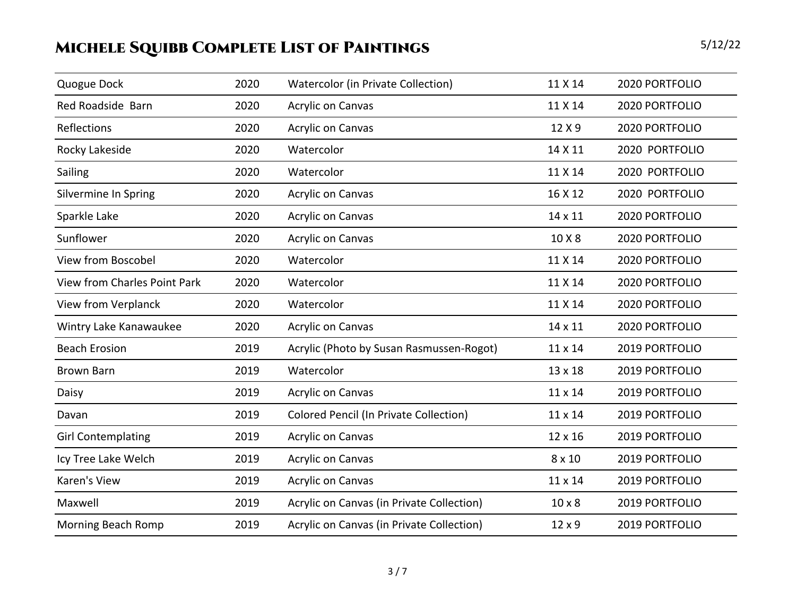| Quogue Dock                         | 2020 | <b>Watercolor (in Private Collection)</b> | 11 X 14       | 2020 PORTFOLIO |
|-------------------------------------|------|-------------------------------------------|---------------|----------------|
| Red Roadside Barn                   | 2020 | <b>Acrylic on Canvas</b>                  | 11 X 14       | 2020 PORTFOLIO |
| Reflections                         | 2020 | <b>Acrylic on Canvas</b>                  | 12 X 9        | 2020 PORTFOLIO |
| Rocky Lakeside                      | 2020 | Watercolor                                | 14 X 11       | 2020 PORTFOLIO |
| Sailing                             | 2020 | Watercolor                                | 11 X 14       | 2020 PORTFOLIO |
| Silvermine In Spring                | 2020 | <b>Acrylic on Canvas</b>                  | 16 X 12       | 2020 PORTFOLIO |
| Sparkle Lake                        | 2020 | <b>Acrylic on Canvas</b>                  | 14 x 11       | 2020 PORTFOLIO |
| Sunflower                           | 2020 | <b>Acrylic on Canvas</b>                  | 10 X 8        | 2020 PORTFOLIO |
| <b>View from Boscobel</b>           | 2020 | Watercolor                                | 11 X 14       | 2020 PORTFOLIO |
| <b>View from Charles Point Park</b> | 2020 | Watercolor                                | 11 X 14       | 2020 PORTFOLIO |
| View from Verplanck                 | 2020 | Watercolor                                | 11 X 14       | 2020 PORTFOLIO |
| Wintry Lake Kanawaukee              | 2020 | <b>Acrylic on Canvas</b>                  | 14 x 11       | 2020 PORTFOLIO |
| <b>Beach Erosion</b>                | 2019 | Acrylic (Photo by Susan Rasmussen-Rogot)  | 11 x 14       | 2019 PORTFOLIO |
| <b>Brown Barn</b>                   | 2019 | Watercolor                                | 13 x 18       | 2019 PORTFOLIO |
| Daisy                               | 2019 | <b>Acrylic on Canvas</b>                  | 11 x 14       | 2019 PORTFOLIO |
| Davan                               | 2019 | Colored Pencil (In Private Collection)    | 11 x 14       | 2019 PORTFOLIO |
| <b>Girl Contemplating</b>           | 2019 | <b>Acrylic on Canvas</b>                  | 12 x 16       | 2019 PORTFOLIO |
| Icy Tree Lake Welch                 | 2019 | <b>Acrylic on Canvas</b>                  | 8 x 10        | 2019 PORTFOLIO |
| Karen's View                        | 2019 | Acrylic on Canvas                         | 11 x 14       | 2019 PORTFOLIO |
| Maxwell                             | 2019 | Acrylic on Canvas (in Private Collection) | $10 \times 8$ | 2019 PORTFOLIO |
| Morning Beach Romp                  | 2019 | Acrylic on Canvas (in Private Collection) | 12 x 9        | 2019 PORTFOLIO |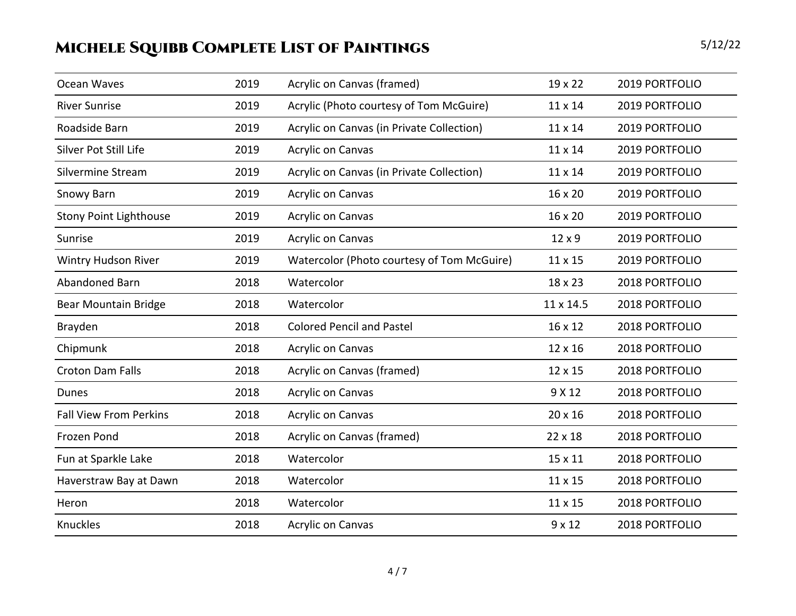| Ocean Waves                   | 2019 | Acrylic on Canvas (framed)                 | 19 x 22        | 2019 PORTFOLIO |
|-------------------------------|------|--------------------------------------------|----------------|----------------|
| <b>River Sunrise</b>          | 2019 | Acrylic (Photo courtesy of Tom McGuire)    | 11 x 14        | 2019 PORTFOLIO |
| Roadside Barn                 | 2019 | Acrylic on Canvas (in Private Collection)  | 11 x 14        | 2019 PORTFOLIO |
| <b>Silver Pot Still Life</b>  | 2019 | <b>Acrylic on Canvas</b>                   | $11 \times 14$ | 2019 PORTFOLIO |
| Silvermine Stream             | 2019 | Acrylic on Canvas (in Private Collection)  | 11 x 14        | 2019 PORTFOLIO |
| Snowy Barn                    | 2019 | <b>Acrylic on Canvas</b>                   | 16 x 20        | 2019 PORTFOLIO |
| <b>Stony Point Lighthouse</b> | 2019 | <b>Acrylic on Canvas</b>                   | 16 x 20        | 2019 PORTFOLIO |
| Sunrise                       | 2019 | <b>Acrylic on Canvas</b>                   | 12 x 9         | 2019 PORTFOLIO |
| Wintry Hudson River           | 2019 | Watercolor (Photo courtesy of Tom McGuire) | 11 x 15        | 2019 PORTFOLIO |
| Abandoned Barn                | 2018 | Watercolor                                 | 18 x 23        | 2018 PORTFOLIO |
| Bear Mountain Bridge          | 2018 | Watercolor                                 | 11 x 14.5      | 2018 PORTFOLIO |
| Brayden                       | 2018 | <b>Colored Pencil and Pastel</b>           | 16 x 12        | 2018 PORTFOLIO |
| Chipmunk                      | 2018 | <b>Acrylic on Canvas</b>                   | 12 x 16        | 2018 PORTFOLIO |
| <b>Croton Dam Falls</b>       | 2018 | Acrylic on Canvas (framed)                 | 12 x 15        | 2018 PORTFOLIO |
| <b>Dunes</b>                  | 2018 | Acrylic on Canvas                          | 9 X 12         | 2018 PORTFOLIO |
| <b>Fall View From Perkins</b> | 2018 | Acrylic on Canvas                          | 20 x 16        | 2018 PORTFOLIO |
| Frozen Pond                   | 2018 | Acrylic on Canvas (framed)                 | 22 x 18        | 2018 PORTFOLIO |
| Fun at Sparkle Lake           | 2018 | Watercolor                                 | 15 x 11        | 2018 PORTFOLIO |
| Haverstraw Bay at Dawn        | 2018 | Watercolor                                 | 11 x 15        | 2018 PORTFOLIO |
| Heron                         | 2018 | Watercolor                                 | 11 x 15        | 2018 PORTFOLIO |
| Knuckles                      | 2018 | <b>Acrylic on Canvas</b>                   | $9 \times 12$  | 2018 PORTFOLIO |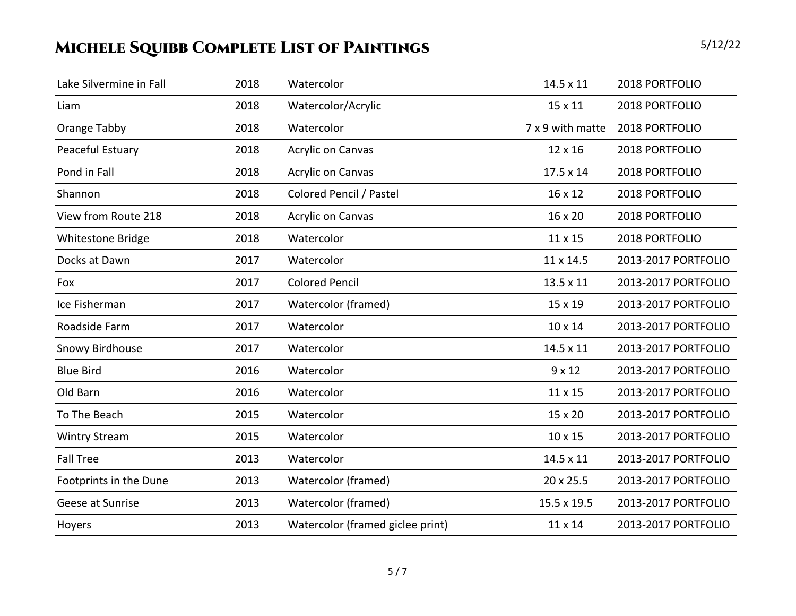| Lake Silvermine in Fall | 2018 | Watercolor                       | 14.5 x 11        | 2018 PORTFOLIO      |
|-------------------------|------|----------------------------------|------------------|---------------------|
| Liam                    | 2018 | Watercolor/Acrylic               | 15 x 11          | 2018 PORTFOLIO      |
| Orange Tabby            | 2018 | Watercolor                       | 7 x 9 with matte | 2018 PORTFOLIO      |
| Peaceful Estuary        | 2018 | Acrylic on Canvas                | 12 x 16          | 2018 PORTFOLIO      |
| Pond in Fall            | 2018 | Acrylic on Canvas                | 17.5 x 14        | 2018 PORTFOLIO      |
| Shannon                 | 2018 | Colored Pencil / Pastel          | 16 x 12          | 2018 PORTFOLIO      |
| View from Route 218     | 2018 | <b>Acrylic on Canvas</b>         | 16 x 20          | 2018 PORTFOLIO      |
| Whitestone Bridge       | 2018 | Watercolor                       | 11 x 15          | 2018 PORTFOLIO      |
| Docks at Dawn           | 2017 | Watercolor                       | 11 x 14.5        | 2013-2017 PORTFOLIO |
| Fox                     | 2017 | <b>Colored Pencil</b>            | 13.5 x 11        | 2013-2017 PORTFOLIO |
| Ice Fisherman           | 2017 | Watercolor (framed)              | 15 x 19          | 2013-2017 PORTFOLIO |
| Roadside Farm           | 2017 | Watercolor                       | 10 x 14          | 2013-2017 PORTFOLIO |
| Snowy Birdhouse         | 2017 | Watercolor                       | 14.5 x 11        | 2013-2017 PORTFOLIO |
| <b>Blue Bird</b>        | 2016 | Watercolor                       | $9 \times 12$    | 2013-2017 PORTFOLIO |
| Old Barn                | 2016 | Watercolor                       | 11 x 15          | 2013-2017 PORTFOLIO |
| To The Beach            | 2015 | Watercolor                       | 15 x 20          | 2013-2017 PORTFOLIO |
| <b>Wintry Stream</b>    | 2015 | Watercolor                       | 10 x 15          | 2013-2017 PORTFOLIO |
| <b>Fall Tree</b>        | 2013 | Watercolor                       | 14.5 x 11        | 2013-2017 PORTFOLIO |
| Footprints in the Dune  | 2013 | Watercolor (framed)              | 20 x 25.5        | 2013-2017 PORTFOLIO |
| Geese at Sunrise        | 2013 | Watercolor (framed)              | 15.5 x 19.5      | 2013-2017 PORTFOLIO |
| Hoyers                  | 2013 | Watercolor (framed giclee print) | 11 x 14          | 2013-2017 PORTFOLIO |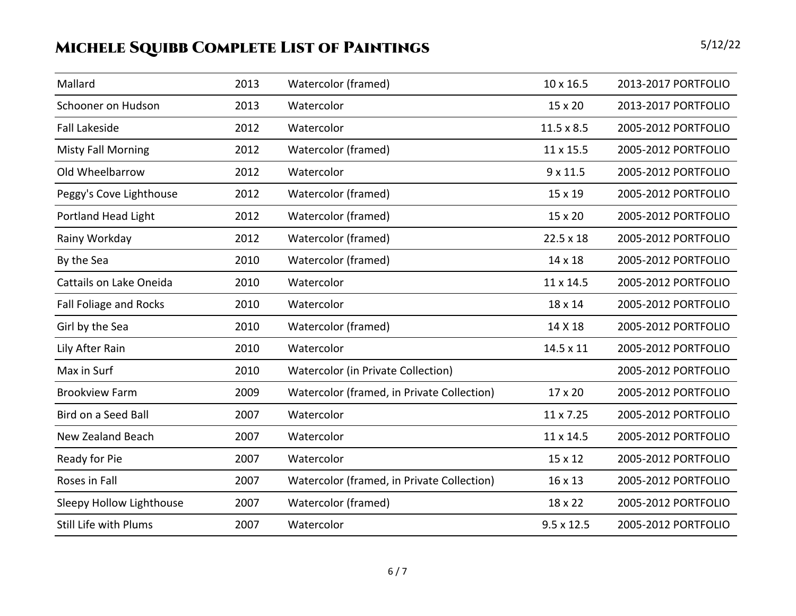| Mallard                       | 2013 | Watercolor (framed)                        | 10 x 16.5         | 2013-2017 PORTFOLIO |
|-------------------------------|------|--------------------------------------------|-------------------|---------------------|
| Schooner on Hudson            | 2013 | Watercolor                                 | 15 x 20           | 2013-2017 PORTFOLIO |
| <b>Fall Lakeside</b>          | 2012 | Watercolor                                 | $11.5 \times 8.5$ | 2005-2012 PORTFOLIO |
| <b>Misty Fall Morning</b>     | 2012 | Watercolor (framed)                        | 11 x 15.5         | 2005-2012 PORTFOLIO |
| Old Wheelbarrow               | 2012 | Watercolor                                 | $9 \times 11.5$   | 2005-2012 PORTFOLIO |
| Peggy's Cove Lighthouse       | 2012 | Watercolor (framed)                        | 15 x 19           | 2005-2012 PORTFOLIO |
| <b>Portland Head Light</b>    | 2012 | Watercolor (framed)                        | 15 x 20           | 2005-2012 PORTFOLIO |
| Rainy Workday                 | 2012 | Watercolor (framed)                        | $22.5 \times 18$  | 2005-2012 PORTFOLIO |
| By the Sea                    | 2010 | Watercolor (framed)                        | 14 x 18           | 2005-2012 PORTFOLIO |
| Cattails on Lake Oneida       | 2010 | Watercolor                                 | 11 x 14.5         | 2005-2012 PORTFOLIO |
| <b>Fall Foliage and Rocks</b> | 2010 | Watercolor                                 | 18 x 14           | 2005-2012 PORTFOLIO |
| Girl by the Sea               | 2010 | Watercolor (framed)                        | 14 X 18           | 2005-2012 PORTFOLIO |
| Lily After Rain               | 2010 | Watercolor                                 | 14.5 x 11         | 2005-2012 PORTFOLIO |
| Max in Surf                   | 2010 | Watercolor (in Private Collection)         |                   | 2005-2012 PORTFOLIO |
| <b>Brookview Farm</b>         | 2009 | Watercolor (framed, in Private Collection) | 17 x 20           | 2005-2012 PORTFOLIO |
| Bird on a Seed Ball           | 2007 | Watercolor                                 | 11 x 7.25         | 2005-2012 PORTFOLIO |
| New Zealand Beach             | 2007 | Watercolor                                 | 11 x 14.5         | 2005-2012 PORTFOLIO |
| Ready for Pie                 | 2007 | Watercolor                                 | 15 x 12           | 2005-2012 PORTFOLIO |
| Roses in Fall                 | 2007 | Watercolor (framed, in Private Collection) | 16 x 13           | 2005-2012 PORTFOLIO |
| Sleepy Hollow Lighthouse      | 2007 | Watercolor (framed)                        | 18 x 22           | 2005-2012 PORTFOLIO |
| <b>Still Life with Plums</b>  | 2007 | Watercolor                                 | $9.5 \times 12.5$ | 2005-2012 PORTFOLIO |